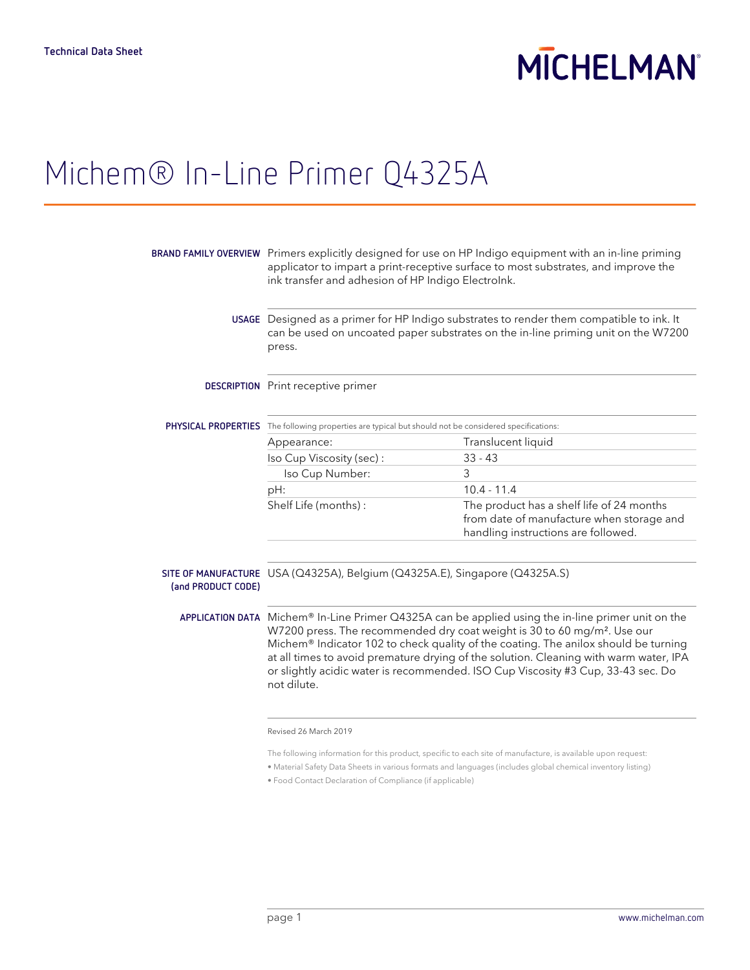# **MICHELMAN**

### Michem® In-Line Primer Q4325A

|                    | BRAND FAMILY OVERVIEW Primers explicitly designed for use on HP Indigo equipment with an in-line priming<br>applicator to impart a print-receptive surface to most substrates, and improve the<br>ink transfer and adhesion of HP Indigo Electrolnk.                                                                                                                                                                                                                          |                                                                                                                               |  |
|--------------------|-------------------------------------------------------------------------------------------------------------------------------------------------------------------------------------------------------------------------------------------------------------------------------------------------------------------------------------------------------------------------------------------------------------------------------------------------------------------------------|-------------------------------------------------------------------------------------------------------------------------------|--|
|                    | USAGE Designed as a primer for HP Indigo substrates to render them compatible to ink. It<br>can be used on uncoated paper substrates on the in-line priming unit on the W7200<br>press.                                                                                                                                                                                                                                                                                       |                                                                                                                               |  |
|                    | <b>DESCRIPTION</b> Print receptive primer                                                                                                                                                                                                                                                                                                                                                                                                                                     |                                                                                                                               |  |
|                    | PHYSICAL PROPERTIES The following properties are typical but should not be considered specifications:                                                                                                                                                                                                                                                                                                                                                                         |                                                                                                                               |  |
|                    | Appearance:                                                                                                                                                                                                                                                                                                                                                                                                                                                                   | Translucent liquid                                                                                                            |  |
|                    | Iso Cup Viscosity (sec):                                                                                                                                                                                                                                                                                                                                                                                                                                                      | $33 - 43$                                                                                                                     |  |
|                    | Iso Cup Number:                                                                                                                                                                                                                                                                                                                                                                                                                                                               | 3                                                                                                                             |  |
|                    | pH:                                                                                                                                                                                                                                                                                                                                                                                                                                                                           | $10.4 - 11.4$                                                                                                                 |  |
|                    | Shelf Life (months):                                                                                                                                                                                                                                                                                                                                                                                                                                                          | The product has a shelf life of 24 months<br>from date of manufacture when storage and<br>handling instructions are followed. |  |
| (and PRODUCT CODE) | SITE OF MANUFACTURE USA (Q4325A), Belgium (Q4325A.E), Singapore (Q4325A.S)                                                                                                                                                                                                                                                                                                                                                                                                    |                                                                                                                               |  |
|                    | APPLICATION DATA Michem® In-Line Primer Q4325A can be applied using the in-line primer unit on the<br>W7200 press. The recommended dry coat weight is 30 to 60 mg/m <sup>2</sup> . Use our<br>Michem® Indicator 102 to check quality of the coating. The anilox should be turning<br>at all times to avoid premature drying of the solution. Cleaning with warm water, IPA<br>or slightly acidic water is recommended. ISO Cup Viscosity #3 Cup, 33-43 sec. Do<br>not dilute. |                                                                                                                               |  |
|                    | Revised 26 March 2019                                                                                                                                                                                                                                                                                                                                                                                                                                                         |                                                                                                                               |  |
|                    | The following information for this product, specific to each site of manufacture, is available upon request:                                                                                                                                                                                                                                                                                                                                                                  |                                                                                                                               |  |

- Material Safety Data Sheets in various formats and languages (includes global chemical inventory listing)
- Food Contact Declaration of Compliance (if applicable)